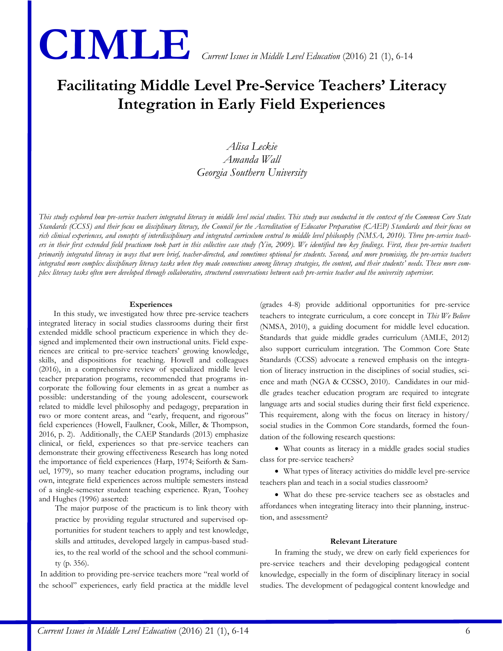

# **Facilitating Middle Level Pre-Service Teachers' Literacy Integration in Early Field Experiences**

# *Alisa Leckie Amanda Wall Georgia Southern University*

*This study explored how pre-service teachers integrated literacy in middle level social studies. This study was conducted in the context of the Common Core State Standards (CCSS) and their focus on disciplinary literacy, the Council for the Accreditation of Educator Preparation (CAEP) Standards and their focus on rich clinical experiences, and concepts of interdisciplinary and integrated curriculum central to middle level philosophy (NMSA, 2010). Three pre-service teachers in their first extended field practicum took part in this collective case study (Yin, 2009). We identified two key findings. First, these pre-service teachers primarily integrated literacy in ways that were brief, teacher-directed, and sometimes optional for students. Second, and more promising, the pre-service teachers*  integrated more complex disciplinary literacy tasks when they made connections among literacy strategies, the content, and their students' needs. These more com*plex literacy tasks often were developed through collaborative, structured conversations between each pre-service teacher and the university supervisor.*

#### **Experiences**

In this study, we investigated how three pre-service teachers integrated literacy in social studies classrooms during their first extended middle school practicum experience in which they designed and implemented their own instructional units. Field experiences are critical to pre-service teachers' growing knowledge, skills, and dispositions for teaching. Howell and colleagues (2016), in a comprehensive review of specialized middle level teacher preparation programs, recommended that programs incorporate the following four elements in as great a number as possible: understanding of the young adolescent, coursework related to middle level philosophy and pedagogy, preparation in two or more content areas, and "early, frequent, and rigorous" field experiences (Howell, Faulkner, Cook, Miller, & Thompson, 2016, p. 2). Additionally, the CAEP Standards (2013) emphasize clinical, or field, experiences so that pre-service teachers can demonstrate their growing effectiveness Research has long noted the importance of field experiences (Harp, 1974; Seiforth & Samuel, 1979), so many teacher education programs, including our own, integrate field experiences across multiple semesters instead of a single-semester student teaching experience. Ryan, Toohey and Hughes (1996) asserted:

The major purpose of the practicum is to link theory with practice by providing regular structured and supervised opportunities for student teachers to apply and test knowledge, skills and attitudes, developed largely in campus-based studies, to the real world of the school and the school community (p. 356).

In addition to providing pre-service teachers more "real world of the school" experiences, early field practica at the middle level (grades 4-8) provide additional opportunities for pre-service teachers to integrate curriculum, a core concept in *This We Believe* (NMSA, 2010), a guiding document for middle level education. Standards that guide middle grades curriculum (AMLE, 2012) also support curriculum integration. The Common Core State Standards (CCSS) advocate a renewed emphasis on the integration of literacy instruction in the disciplines of social studies, science and math (NGA & CCSSO, 2010). Candidates in our middle grades teacher education program are required to integrate language arts and social studies during their first field experience. This requirement, along with the focus on literacy in history/ social studies in the Common Core standards, formed the foundation of the following research questions:

 What counts as literacy in a middle grades social studies class for pre-service teachers?

 What types of literacy activities do middle level pre-service teachers plan and teach in a social studies classroom?

 What do these pre-service teachers see as obstacles and affordances when integrating literacy into their planning, instruction, and assessment?

#### **Relevant Literature**

In framing the study, we drew on early field experiences for pre-service teachers and their developing pedagogical content knowledge, especially in the form of disciplinary literacy in social studies. The development of pedagogical content knowledge and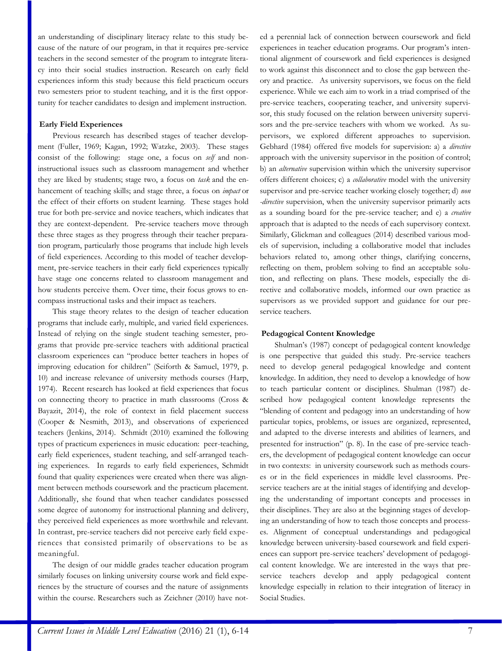an understanding of disciplinary literacy relate to this study because of the nature of our program, in that it requires pre-service teachers in the second semester of the program to integrate literacy into their social studies instruction. Research on early field experiences inform this study because this field practicum occurs two semesters prior to student teaching, and it is the first opportunity for teacher candidates to design and implement instruction.

#### **Early Field Experiences**

Previous research has described stages of teacher development (Fuller, 1969; Kagan, 1992; Watzke, 2003). These stages consist of the following: stage one, a focus on *self* and noninstructional issues such as classroom management and whether they are liked by students; stage two, a focus on *task* and the enhancement of teaching skills; and stage three, a focus on *impact* or the effect of their efforts on student learning. These stages hold true for both pre-service and novice teachers, which indicates that they are context-dependent. Pre-service teachers move through these three stages as they progress through their teacher preparation program, particularly those programs that include high levels of field experiences. According to this model of teacher development, pre-service teachers in their early field experiences typically have stage one concerns related to classroom management and how students perceive them. Over time, their focus grows to encompass instructional tasks and their impact as teachers.

This stage theory relates to the design of teacher education programs that include early, multiple, and varied field experiences. Instead of relying on the single student teaching semester, programs that provide pre-service teachers with additional practical classroom experiences can "produce better teachers in hopes of improving education for children" (Seiforth & Samuel, 1979, p. 10) and increase relevance of university methods courses (Harp, 1974). Recent research has looked at field experiences that focus on connecting theory to practice in math classrooms (Cross & Bayazit, 2014), the role of context in field placement success (Cooper & Nesmith, 2013), and observations of experienced teachers (Jenkins, 2014). Schmidt (2010) examined the following types of practicum experiences in music education: peer-teaching, early field experiences, student teaching, and self-arranged teaching experiences. In regards to early field experiences, Schmidt found that quality experiences were created when there was alignment between methods coursework and the practicum placement. Additionally, she found that when teacher candidates possessed some degree of autonomy for instructional planning and delivery, they perceived field experiences as more worthwhile and relevant. In contrast, pre-service teachers did not perceive early field experiences that consisted primarily of observations to be as meaningful.

The design of our middle grades teacher education program similarly focuses on linking university course work and field experiences by the structure of courses and the nature of assignments within the course. Researchers such as Zeichner (2010) have noted a perennial lack of connection between coursework and field experiences in teacher education programs. Our program's intentional alignment of coursework and field experiences is designed to work against this disconnect and to close the gap between theory and practice. As university supervisors, we focus on the field experience. While we each aim to work in a triad comprised of the pre-service teachers, cooperating teacher, and university supervisor, this study focused on the relation between university supervisors and the pre-service teachers with whom we worked. As supervisors, we explored different approaches to supervision. Gebhard (1984) offered five models for supervision: a) a *directive* approach with the university supervisor in the position of control; b) an *alternative* supervision within which the university supervisor offers different choices; c) a *collaborative* model with the university supervisor and pre-service teacher working closely together; d) *non -directive* supervision, when the university supervisor primarily acts as a sounding board for the pre-service teacher; and e) a *creative* approach that is adapted to the needs of each supervisory context. Similarly, Glickman and colleagues (2014) described various models of supervision, including a collaborative model that includes behaviors related to, among other things, clarifying concerns, reflecting on them, problem solving to find an acceptable solution, and reflecting on plans. These models, especially the directive and collaborative models, informed our own practice as supervisors as we provided support and guidance for our preservice teachers.

## **Pedagogical Content Knowledge**

Shulman's (1987) concept of pedagogical content knowledge is one perspective that guided this study. Pre-service teachers need to develop general pedagogical knowledge and content knowledge. In addition, they need to develop a knowledge of how to teach particular content or disciplines. Shulman (1987) described how pedagogical content knowledge represents the "blending of content and pedagogy into an understanding of how particular topics, problems, or issues are organized, represented, and adapted to the diverse interests and abilities of learners, and presented for instruction" (p. 8). In the case of pre-service teachers, the development of pedagogical content knowledge can occur in two contexts: in university coursework such as methods courses or in the field experiences in middle level classrooms. Preservice teachers are at the initial stages of identifying and developing the understanding of important concepts and processes in their disciplines. They are also at the beginning stages of developing an understanding of how to teach those concepts and processes. Alignment of conceptual understandings and pedagogical knowledge between university-based coursework and field experiences can support pre-service teachers' development of pedagogical content knowledge. We are interested in the ways that preservice teachers develop and apply pedagogical content knowledge especially in relation to their integration of literacy in Social Studies.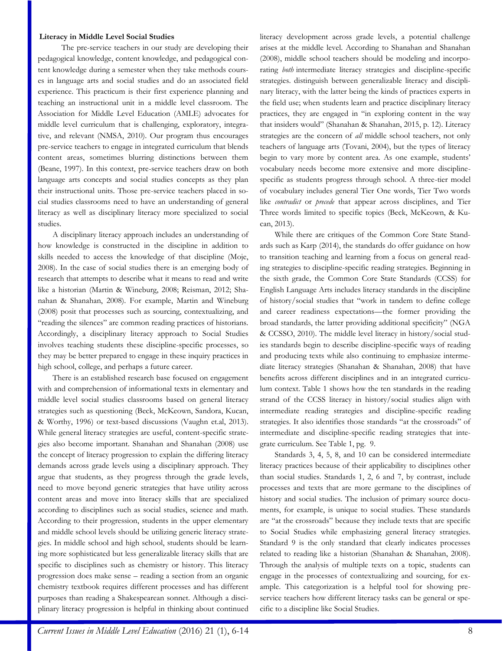#### **Literacy in Middle Level Social Studies**

The pre-service teachers in our study are developing their pedagogical knowledge, content knowledge, and pedagogical content knowledge during a semester when they take methods courses in language arts and social studies and do an associated field experience. This practicum is their first experience planning and teaching an instructional unit in a middle level classroom. The Association for Middle Level Education (AMLE) advocates for middle level curriculum that is challenging, exploratory, integrative, and relevant (NMSA, 2010). Our program thus encourages pre-service teachers to engage in integrated curriculum that blends content areas, sometimes blurring distinctions between them (Beane, 1997). In this context, pre-service teachers draw on both language arts concepts and social studies concepts as they plan their instructional units. Those pre-service teachers placed in social studies classrooms need to have an understanding of general literacy as well as disciplinary literacy more specialized to social studies.

A disciplinary literacy approach includes an understanding of how knowledge is constructed in the discipline in addition to skills needed to access the knowledge of that discipline (Moje, 2008). In the case of social studies there is an emerging body of research that attempts to describe what it means to read and write like a historian (Martin & Wineburg, 2008; Reisman, 2012; Shanahan & Shanahan, 2008). For example, Martin and Wineburg (2008) posit that processes such as sourcing, contextualizing, and "reading the silences" are common reading practices of historians. Accordingly, a disciplinary literacy approach to Social Studies involves teaching students these discipline-specific processes, so they may be better prepared to engage in these inquiry practices in high school, college, and perhaps a future career.

There is an established research base focused on engagement with and comprehension of informational texts in elementary and middle level social studies classrooms based on general literacy strategies such as questioning (Beck, McKeown, Sandora, Kucan, & Worthy, 1996) or text-based discussions (Vaughn et.al, 2013). While general literacy strategies are useful, content-specific strategies also become important. Shanahan and Shanahan (2008) use the concept of literacy progression to explain the differing literacy demands across grade levels using a disciplinary approach. They argue that students, as they progress through the grade levels, need to move beyond generic strategies that have utility across content areas and move into literacy skills that are specialized according to disciplines such as social studies, science and math. According to their progression, students in the upper elementary and middle school levels should be utilizing generic literacy strategies. In middle school and high school, students should be learning more sophisticated but less generalizable literacy skills that are specific to disciplines such as chemistry or history. This literacy progression does make sense – reading a section from an organic chemistry textbook requires different processes and has different purposes than reading a Shakespearean sonnet. Although a disciplinary literacy progression is helpful in thinking about continued literacy development across grade levels, a potential challenge arises at the middle level. According to Shanahan and Shanahan (2008), middle school teachers should be modeling and incorporating *both* intermediate literacy strategies and discipline-specific strategies. distinguish between generalizable literacy and disciplinary literacy, with the latter being the kinds of practices experts in the field use; when students learn and practice disciplinary literacy practices, they are engaged in "in exploring content in the way that insiders would" (Shanahan & Shanahan, 2015, p. 12). Literacy strategies are the concern of *all* middle school teachers, not only teachers of language arts (Tovani, 2004), but the types of literacy begin to vary more by content area. As one example, students' vocabulary needs become more extensive and more disciplinespecific as students progress through school. A three-tier model of vocabulary includes general Tier One words, Tier Two words like *contradict* or *precede* that appear across disciplines, and Tier Three words limited to specific topics (Beck, McKeown, & Kucan, 2013).

While there are critiques of the Common Core State Standards such as Karp (2014), the standards do offer guidance on how to transition teaching and learning from a focus on general reading strategies to discipline-specific reading strategies. Beginning in the sixth grade, the Common Core State Standards (CCSS) for English Language Arts includes literacy standards in the discipline of history/social studies that "work in tandem to define college and career readiness expectations—the former providing the broad standards, the latter providing additional specificity" (NGA & CCSSO, 2010). The middle level literacy in history/social studies standards begin to describe discipline-specific ways of reading and producing texts while also continuing to emphasize intermediate literacy strategies (Shanahan & Shanahan, 2008) that have benefits across different disciplines and in an integrated curriculum context. Table 1 shows how the ten standards in the reading strand of the CCSS literacy in history/social studies align with intermediate reading strategies and discipline-specific reading strategies. It also identifies those standards "at the crossroads" of intermediate and discipline-specific reading strategies that integrate curriculum. See Table 1, pg. 9.

Standards 3, 4, 5, 8, and 10 can be considered intermediate literacy practices because of their applicability to disciplines other than social studies. Standards 1, 2, 6 and 7, by contrast, include processes and texts that are more germane to the disciplines of history and social studies. The inclusion of primary source documents, for example, is unique to social studies. These standards are "at the crossroads" because they include texts that are specific to Social Studies while emphasizing general literacy strategies. Standard 9 is the only standard that clearly indicates processes related to reading like a historian (Shanahan & Shanahan, 2008). Through the analysis of multiple texts on a topic, students can engage in the processes of contextualizing and sourcing, for example. This categorization is a helpful tool for showing preservice teachers how different literacy tasks can be general or specific to a discipline like Social Studies.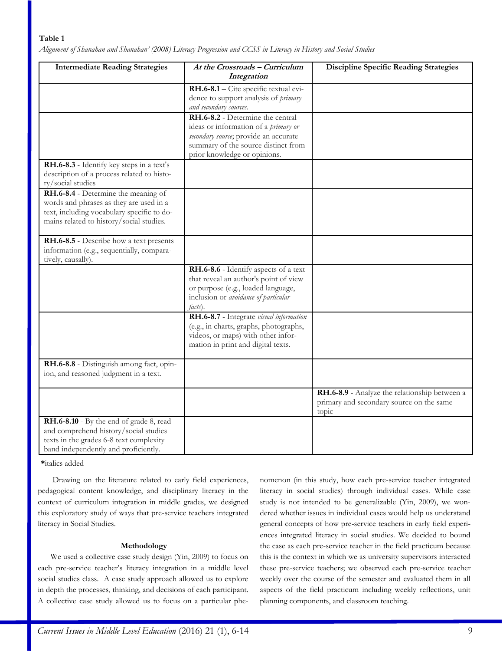#### **Table 1**

*Alignment of Shanahan and Shanahan' (2008) Literacy Progression and CCSS in Literacy in History and Social Studies* 

| <b>Intermediate Reading Strategies</b>                                                                                                                                   | At the Crossroads - Curriculum<br>Integration                                                                                                                                            | <b>Discipline Specific Reading Strategies</b>                                                      |
|--------------------------------------------------------------------------------------------------------------------------------------------------------------------------|------------------------------------------------------------------------------------------------------------------------------------------------------------------------------------------|----------------------------------------------------------------------------------------------------|
|                                                                                                                                                                          | RH.6-8.1 - Cite specific textual evi-<br>dence to support analysis of primary<br>and secondary sources.                                                                                  |                                                                                                    |
|                                                                                                                                                                          | RH.6-8.2 - Determine the central<br>ideas or information of a primary or<br>secondary source; provide an accurate<br>summary of the source distinct from<br>prior knowledge or opinions. |                                                                                                    |
| RH.6-8.3 - Identify key steps in a text's<br>description of a process related to histo-<br>ry/social studies                                                             |                                                                                                                                                                                          |                                                                                                    |
| RH.6-8.4 - Determine the meaning of<br>words and phrases as they are used in a<br>text, including vocabulary specific to do-<br>mains related to history/social studies. |                                                                                                                                                                                          |                                                                                                    |
| RH.6-8.5 - Describe how a text presents<br>information (e.g., sequentially, compara-<br>tively, causally).                                                               |                                                                                                                                                                                          |                                                                                                    |
|                                                                                                                                                                          | RH.6-8.6 - Identify aspects of a text<br>that reveal an author's point of view<br>or purpose (e.g., loaded language,<br>inclusion or avoidance of particular<br>facts).                  |                                                                                                    |
|                                                                                                                                                                          | RH.6-8.7 - Integrate visual information<br>(e.g., in charts, graphs, photographs,<br>videos, or maps) with other infor-<br>mation in print and digital texts.                            |                                                                                                    |
| RH.6-8.8 - Distinguish among fact, opin-<br>ion, and reasoned judgment in a text.                                                                                        |                                                                                                                                                                                          |                                                                                                    |
|                                                                                                                                                                          |                                                                                                                                                                                          | RH.6-8.9 - Analyze the relationship between a<br>primary and secondary source on the same<br>topic |
| RH.6-8.10 - By the end of grade 8, read<br>and comprehend history/social studies<br>texts in the grades 6-8 text complexity<br>band independently and proficiently.      |                                                                                                                                                                                          |                                                                                                    |

**\***italics added

Drawing on the literature related to early field experiences, pedagogical content knowledge, and disciplinary literacy in the context of curriculum integration in middle grades, we designed this exploratory study of ways that pre-service teachers integrated literacy in Social Studies.

## **Methodology**

We used a collective case study design (Yin, 2009) to focus on each pre-service teacher's literacy integration in a middle level social studies class. A case study approach allowed us to explore in depth the processes, thinking, and decisions of each participant. A collective case study allowed us to focus on a particular phenomenon (in this study, how each pre-service teacher integrated literacy in social studies) through individual cases. While case study is not intended to be generalizable (Yin, 2009), we wondered whether issues in individual cases would help us understand general concepts of how pre-service teachers in early field experiences integrated literacy in social studies. We decided to bound the case as each pre-service teacher in the field practicum because this is the context in which we as university supervisors interacted these pre-service teachers; we observed each pre-service teacher weekly over the course of the semester and evaluated them in all aspects of the field practicum including weekly reflections, unit planning components, and classroom teaching.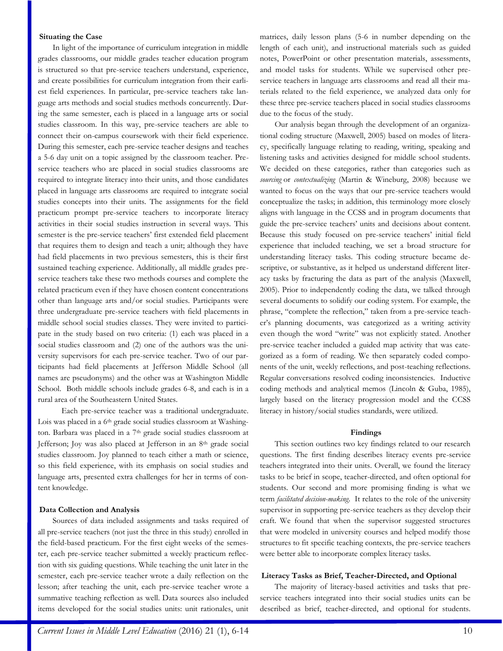#### **Situating the Case**

In light of the importance of curriculum integration in middle grades classrooms, our middle grades teacher education program is structured so that pre-service teachers understand, experience, and create possibilities for curriculum integration from their earliest field experiences. In particular, pre-service teachers take language arts methods and social studies methods concurrently. During the same semester, each is placed in a language arts or social studies classroom. In this way, pre-service teachers are able to connect their on-campus coursework with their field experience. During this semester, each pre-service teacher designs and teaches a 5-6 day unit on a topic assigned by the classroom teacher. Preservice teachers who are placed in social studies classrooms are required to integrate literacy into their units, and those candidates placed in language arts classrooms are required to integrate social studies concepts into their units. The assignments for the field practicum prompt pre-service teachers to incorporate literacy activities in their social studies instruction in several ways. This semester is the pre-service teachers' first extended field placement that requires them to design and teach a unit; although they have had field placements in two previous semesters, this is their first sustained teaching experience. Additionally, all middle grades preservice teachers take these two methods courses and complete the related practicum even if they have chosen content concentrations other than language arts and/or social studies. Participants were three undergraduate pre-service teachers with field placements in middle school social studies classes. They were invited to participate in the study based on two criteria: (1) each was placed in a social studies classroom and (2) one of the authors was the university supervisors for each pre-service teacher. Two of our participants had field placements at Jefferson Middle School (all names are pseudonyms) and the other was at Washington Middle School. Both middle schools include grades 6-8, and each is in a rural area of the Southeastern United States.

Each pre-service teacher was a traditional undergraduate. Lois was placed in a 6<sup>th</sup> grade social studies classroom at Washington. Barbara was placed in a 7th grade social studies classroom at Jefferson; Joy was also placed at Jefferson in an 8th grade social studies classroom. Joy planned to teach either a math or science, so this field experience, with its emphasis on social studies and language arts, presented extra challenges for her in terms of content knowledge.

#### **Data Collection and Analysis**

Sources of data included assignments and tasks required of all pre-service teachers (not just the three in this study) enrolled in the field-based practicum. For the first eight weeks of the semester, each pre-service teacher submitted a weekly practicum reflection with six guiding questions. While teaching the unit later in the semester, each pre-service teacher wrote a daily reflection on the lesson; after teaching the unit, each pre-service teacher wrote a summative teaching reflection as well. Data sources also included items developed for the social studies units: unit rationales, unit matrices, daily lesson plans (5-6 in number depending on the length of each unit), and instructional materials such as guided notes, PowerPoint or other presentation materials, assessments, and model tasks for students. While we supervised other preservice teachers in language arts classrooms and read all their materials related to the field experience, we analyzed data only for these three pre-service teachers placed in social studies classrooms due to the focus of the study.

Our analysis began through the development of an organizational coding structure (Maxwell, 2005) based on modes of literacy, specifically language relating to reading, writing, speaking and listening tasks and activities designed for middle school students. We decided on these categories, rather than categories such as *sourcing* or *contextualizing* (Martin & Wineburg, 2008) because we wanted to focus on the ways that our pre-service teachers would conceptualize the tasks; in addition, this terminology more closely aligns with language in the CCSS and in program documents that guide the pre-service teachers' units and decisions about content. Because this study focused on pre-service teachers' initial field experience that included teaching, we set a broad structure for understanding literacy tasks. This coding structure became descriptive, or substantive, as it helped us understand different literacy tasks by fracturing the data as part of the analysis (Maxwell, 2005). Prior to independently coding the data, we talked through several documents to solidify our coding system. For example, the phrase, "complete the reflection," taken from a pre-service teacher's planning documents, was categorized as a writing activity even though the word "write" was not explicitly stated. Another pre-service teacher included a guided map activity that was categorized as a form of reading. We then separately coded components of the unit, weekly reflections, and post-teaching reflections. Regular conversations resolved coding inconsistencies. Inductive coding methods and analytical memos (Lincoln & Guba, 1985), largely based on the literacy progression model and the CCSS literacy in history/social studies standards, were utilized.

#### **Findings**

This section outlines two key findings related to our research questions. The first finding describes literacy events pre-service teachers integrated into their units. Overall, we found the literacy tasks to be brief in scope, teacher-directed, and often optional for students. Our second and more promising finding is what we term *facilitated decision-making*. It relates to the role of the university supervisor in supporting pre-service teachers as they develop their craft. We found that when the supervisor suggested structures that were modeled in university courses and helped modify those structures to fit specific teaching contexts, the pre-service teachers were better able to incorporate complex literacy tasks.

#### **Literacy Tasks as Brief, Teacher-Directed, and Optional**

The majority of literacy-based activities and tasks that preservice teachers integrated into their social studies units can be described as brief, teacher-directed, and optional for students.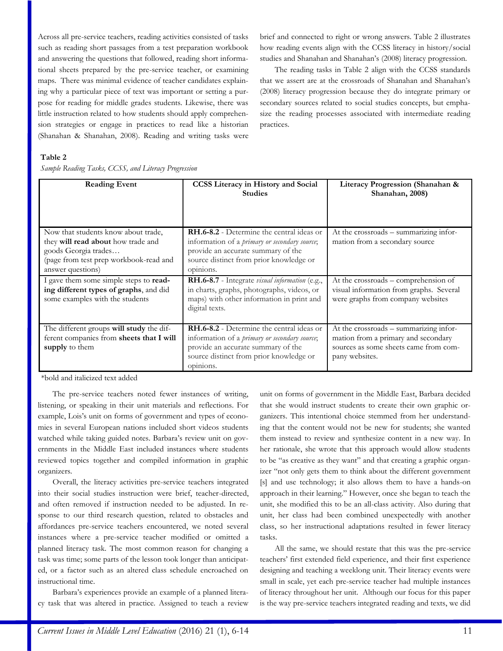Across all pre-service teachers, reading activities consisted of tasks such as reading short passages from a test preparation workbook and answering the questions that followed, reading short informational sheets prepared by the pre-service teacher, or examining maps. There was minimal evidence of teacher candidates explaining why a particular piece of text was important or setting a purpose for reading for middle grades students. Likewise, there was little instruction related to how students should apply comprehension strategies or engage in practices to read like a historian (Shanahan & Shanahan, 2008). Reading and writing tasks were

brief and connected to right or wrong answers. Table 2 illustrates how reading events align with the CCSS literacy in history/social studies and Shanahan and Shanahan's (2008) literacy progression.

The reading tasks in Table 2 align with the CCSS standards that we assert are at the crossroads of Shanahan and Shanahan's (2008) literacy progression because they do integrate primary or secondary sources related to social studies concepts, but emphasize the reading processes associated with intermediate reading practices.

#### **Table 2**

*Sample Reading Tasks, CCSS, and Literacy Progression* 

| <b>Reading Event</b>                                                                                                                                             | <b>CCSS</b> Literacy in History and Social<br><b>Studies</b>                                                                                                                                            | Literacy Progression (Shanahan &<br>Shanahan, 2008)                                                                                      |
|------------------------------------------------------------------------------------------------------------------------------------------------------------------|---------------------------------------------------------------------------------------------------------------------------------------------------------------------------------------------------------|------------------------------------------------------------------------------------------------------------------------------------------|
| Now that students know about trade,<br>they will read about how trade and<br>goods Georgia trades<br>(page from test prep workbook-read and<br>answer questions) | <b>RH.6-8.2</b> - Determine the central ideas or<br>information of a <i>primary or secondary source</i> ;<br>provide an accurate summary of the<br>source distinct from prior knowledge or<br>opinions. | At the crossroads – summarizing infor-<br>mation from a secondary source                                                                 |
| I gave them some simple steps to read-<br>ing different types of graphs, and did<br>some examples with the students                                              | RH.6-8.7 - Integrate visual information (e.g.,<br>in charts, graphs, photographs, videos, or<br>maps) with other information in print and<br>digital texts.                                             | At the crossroads - comprehension of<br>visual information from graphs. Several<br>were graphs from company websites                     |
| The different groups will study the dif-<br>ferent companies from sheets that I will<br>supply to them                                                           | <b>RH.6-8.2</b> - Determine the central ideas or<br>information of a <i>primary or secondary source</i> ;<br>provide an accurate summary of the<br>source distinct from prior knowledge or<br>opinions. | At the crossroads - summarizing infor-<br>mation from a primary and secondary<br>sources as some sheets came from com-<br>pany websites. |

\*bold and italicized text added

The pre-service teachers noted fewer instances of writing, listening, or speaking in their unit materials and reflections. For example, Lois's unit on forms of government and types of economies in several European nations included short videos students watched while taking guided notes. Barbara's review unit on governments in the Middle East included instances where students reviewed topics together and compiled information in graphic organizers.

Overall, the literacy activities pre-service teachers integrated into their social studies instruction were brief, teacher-directed, and often removed if instruction needed to be adjusted. In response to our third research question, related to obstacles and affordances pre-service teachers encountered, we noted several instances where a pre-service teacher modified or omitted a planned literacy task. The most common reason for changing a task was time; some parts of the lesson took longer than anticipated, or a factor such as an altered class schedule encroached on instructional time.

Barbara's experiences provide an example of a planned literacy task that was altered in practice. Assigned to teach a review unit on forms of government in the Middle East, Barbara decided that she would instruct students to create their own graphic organizers. This intentional choice stemmed from her understanding that the content would not be new for students; she wanted them instead to review and synthesize content in a new way. In her rationale, she wrote that this approach would allow students to be "as creative as they want" and that creating a graphic organizer "not only gets them to think about the different government [s] and use technology; it also allows them to have a hands-on approach in their learning." However, once she began to teach the unit, she modified this to be an all-class activity. Also during that unit, her class had been combined unexpectedly with another class, so her instructional adaptations resulted in fewer literacy tasks.

All the same, we should restate that this was the pre-service teachers' first extended field experience, and their first experience designing and teaching a weeklong unit. Their literacy events were small in scale, yet each pre-service teacher had multiple instances of literacy throughout her unit. Although our focus for this paper is the way pre-service teachers integrated reading and texts, we did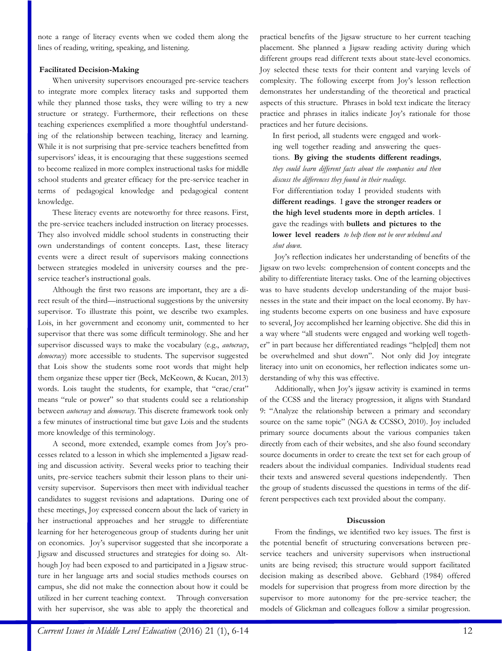note a range of literacy events when we coded them along the lines of reading, writing, speaking, and listening.

#### **Facilitated Decision-Making**

When university supervisors encouraged pre-service teachers to integrate more complex literacy tasks and supported them while they planned those tasks, they were willing to try a new structure or strategy. Furthermore, their reflections on these teaching experiences exemplified a more thoughtful understanding of the relationship between teaching, literacy and learning. While it is not surprising that pre-service teachers benefitted from supervisors' ideas, it is encouraging that these suggestions seemed to become realized in more complex instructional tasks for middle school students and greater efficacy for the pre-service teacher in terms of pedagogical knowledge and pedagogical content knowledge.

These literacy events are noteworthy for three reasons. First, the pre-service teachers included instruction on literacy processes. They also involved middle school students in constructing their own understandings of content concepts. Last, these literacy events were a direct result of supervisors making connections between strategies modeled in university courses and the preservice teacher's instructional goals.

Although the first two reasons are important, they are a direct result of the third—instructional suggestions by the university supervisor. To illustrate this point, we describe two examples. Lois, in her government and economy unit, commented to her supervisor that there was some difficult terminology. She and her supervisor discussed ways to make the vocabulary (e.g., *autocracy*, *democracy*) more accessible to students. The supervisor suggested that Lois show the students some root words that might help them organize these upper tier (Beck, McKeown, & Kucan, 2013) words. Lois taught the students, for example, that "crac/crat" means "rule or power" so that students could see a relationship between *autocracy* and *democracy*. This discrete framework took only a few minutes of instructional time but gave Lois and the students more knowledge of this terminology.

A second, more extended, example comes from Joy's processes related to a lesson in which she implemented a Jigsaw reading and discussion activity. Several weeks prior to teaching their units, pre-service teachers submit their lesson plans to their university supervisor. Supervisors then meet with individual teacher candidates to suggest revisions and adaptations. During one of these meetings, Joy expressed concern about the lack of variety in her instructional approaches and her struggle to differentiate learning for her heterogeneous group of students during her unit on economics. Joy's supervisor suggested that she incorporate a Jigsaw and discussed structures and strategies for doing so. Although Joy had been exposed to and participated in a Jigsaw structure in her language arts and social studies methods courses on campus, she did not make the connection about how it could be utilized in her current teaching context. Through conversation with her supervisor, she was able to apply the theoretical and practical benefits of the Jigsaw structure to her current teaching placement. She planned a Jigsaw reading activity during which different groups read different texts about state-level economics. Joy selected these texts for their content and varying levels of complexity. The following excerpt from Joy's lesson reflection demonstrates her understanding of the theoretical and practical aspects of this structure. Phrases in bold text indicate the literacy practice and phrases in italics indicate Joy's rationale for those practices and her future decisions.

In first period, all students were engaged and working well together reading and answering the questions.**By giving the students different readings***, they could learn different facts about the companies and then discuss the differences they found in their readings.*

For differentiation today I provided students with **different readings**. I **gave the stronger readers or the high level students more in depth articles**. I gave the readings with **bullets and pictures to the lower level readers** *to help them not be over whelmed and shut down*.

Joy's reflection indicates her understanding of benefits of the Jigsaw on two levels: comprehension of content concepts and the ability to differentiate literacy tasks. One of the learning objectives was to have students develop understanding of the major businesses in the state and their impact on the local economy. By having students become experts on one business and have exposure to several, Joy accomplished her learning objective. She did this in a way where "all students were engaged and working well together" in part because her differentiated readings "help[ed] them not be overwhelmed and shut down". Not only did Joy integrate literacy into unit on economics, her reflection indicates some understanding of why this was effective.

Additionally, when Joy's jigsaw activity is examined in terms of the CCSS and the literacy progression, it aligns with Standard 9: "Analyze the relationship between a primary and secondary source on the same topic" (NGA & CCSSO, 2010). Joy included primary source documents about the various companies taken directly from each of their websites, and she also found secondary source documents in order to create the text set for each group of readers about the individual companies. Individual students read their texts and answered several questions independently. Then the group of students discussed the questions in terms of the different perspectives each text provided about the company.

## **Discussion**

From the findings, we identified two key issues. The first is the potential benefit of structuring conversations between preservice teachers and university supervisors when instructional units are being revised; this structure would support facilitated decision making as described above. Gebhard (1984) offered models for supervision that progress from more direction by the supervisor to more autonomy for the pre-service teacher; the models of Glickman and colleagues follow a similar progression.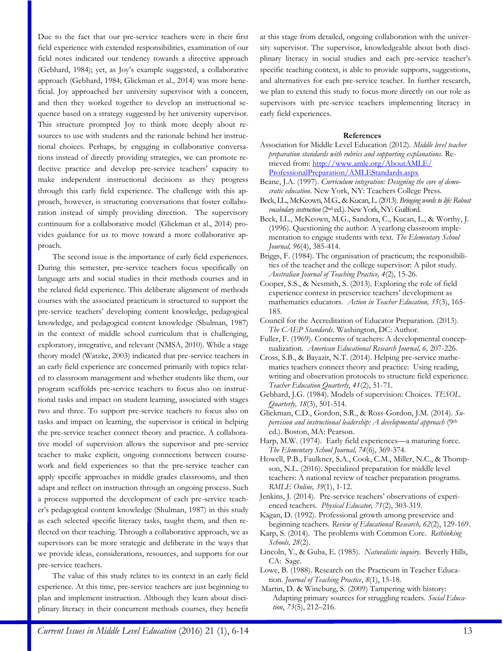Due to the fact that our pre-service teachers were in their first field experience with extended responsibilities, examination of our field notes indicated our tendency towards a directive approach (Gebhard, 1984); yet, as Joy's example suggested, a collaborative approach (Gebhard, 1984; Glickman et al., 2014) was more beneficial. Joy approached her university supervisor with a concern, and then they worked together to develop an instructional sequence based on a strategy suggested by her university supervisor. This structure prompted Joy to think more deeply about resources to use with students and the rationale behind her instructional choices. Perhaps, by engaging in collaborative conversations instead of directly providing strategies, we can promote reflective practice and develop pre-service teachers' capacity to make independent instructional decisions as they progress through this early field experience. The challenge with this approach, however, is structuring conversations that foster collaboration instead of simply providing direction. The supervisory continuum for a collaborative model (Glickman et al., 2014) provides guidance for us to move toward a more collaborative approach.

The second issue is the importance of early field experiences. During this semester, pre-service teachers focus specifically on language arts and social studies in their methods courses and in the related field experience. This deliberate alignment of methods courses with the associated practicum is structured to support the pre-service teachers' developing content knowledge, pedagogical knowledge, and pedagogical content knowledge (Shulman, 1987) in the context of middle school curriculum that is challenging, exploratory, integrative, and relevant (NMSA, 2010). While a stage theory model (Watzke, 2003) indicated that pre-service teachers in an early field experience are concerned primarily with topics related to classroom management and whether students like them, our program scaffolds pre-service teachers to focus also on instructional tasks and impact on student learning, associated with stages two and three. To support pre-service teachers to focus also on tasks and impact on learning, the supervisor is critical in helping the pre-service teacher connect theory and practice. A collaborative model of supervision allows the supervisor and pre-service teacher to make explicit, ongoing connections between coursework and field experiences so that the pre-service teacher can apply specific approaches in middle grades classrooms, and then adapt and reflect on instruction through an ongoing process. Such a process supported the development of each pre-service teacher's pedagogical content knowledge (Shulman, 1987) in this study as each selected specific literacy tasks, taught them, and then reflected on their teaching. Through a collaborative approach, we as supervisors can be more strategic and deliberate in the ways that we provide ideas, considerations, resources, and supports for our pre-service teachers.

The value of this study relates to its context in an early field experience. At this time, pre-service teachers are just beginning to plan and implement instruction. Although they learn about disciplinary literacy in their concurrent methods courses, they benefit at this stage from detailed, ongoing collaboration with the university supervisor. The supervisor, knowledgeable about both disciplinary literacy in social studies and each pre-service teacher's specific teaching context, is able to provide supports, suggestions, and alternatives for each pre-service teacher. In further research, we plan to extend this study to focus more directly on our role as supervisors with pre-service teachers implementing literacy in early field experiences.

#### **References**

- Association for Middle Level Education (2012). *Middle level teacher preparation standards with rubrics and supporting explanations.* Retrieved from: [http://www.amle.org/AboutAMLE/](http://www.amle.org/AboutAMLE/ProfessionalPreparation/AMLEStandards.aspx) [ProfessionalPreparation/AMLEStandards.aspx](http://www.amle.org/AboutAMLE/ProfessionalPreparation/AMLEStandards.aspx)
- Beane, J.A. (1997). *Curriculum integration: Designing the core of democratic education*. New York, NY: Teachers College Press.
- Beck, I.L., McKeown, M.G., & Kucan, L. (2013). *Bringing words to life: Robust vocabulary instruction* (2nd ed.). New York, NY: Guilford.
- Beck, I.L., McKeown, M.G., Sandora, C., Kucan, L., & Worthy, J. (1996). Questioning the author: A yearlong classroom implementation to engage students with text. *The Elementary School Journal, 96*(4), 385-414.
- Briggs, F. (1984). The organisation of practicum; the responsibilities of the teacher and the college supervisor: A pilot study. *Australian Journal of Teaching Practice, 4*(2), 15-26.
- Cooper, S.S., & Nesmith, S. (2013). Exploring the role of field experience context in preservice teachers' development as mathematics educators. *Action in Teacher Education, 35*(3), 165- 185.
- Council for the Accreditation of Educator Preparation. (2013). *The CAEP Standards*. Washington, DC: Author.
- Fuller, F. (1969). Concerns of teachers: A developmental conceptualization. *American Educational Research Journal, 6,* 207-226.
- Cross, S.B., & Bayazit, N.T. (2014). Helping pre-service mathematics teachers connect theory and practice: Using reading, writing and observation protocols to structure field experience. *Teacher Education Quarterly, 41*(2), 51-71.
- Gebhard, J.G. (1984). Models of supervision: Choices. *TESOL Quarterly, 18*(3), 501-514.
- Glickman, C.D., Gordon, S.R., & Ross-Gordon, J.M. (2014). *Supervision and instructional leadership: A developmental approach* (9th ed.). Boston, MA: Pearson.
- Harp, M.W. (1974). Early field experiences—a maturing force. *The Elementary School Journal, 74*(6), 369-374.
- Howell, P.B., Faulkner, S.A., Cook, C.M., Miller, N.C., & Thompson, N.L. (2016). Specialized preparation for middle level teachers: A national review of teacher preparation programs. *RMLE Online, 39*(1), 1-12.
- Jenkins, J. (2014). Pre-service teachers' observations of experienced teachers. *Physical Educator, 71*(2), 303-319.
- Kagan, D. (1992). Professional growth among preservice and beginning teachers. *Review of Educational Research, 62*(2), 129-169.
- Karp, S. (2014). The problems with Common Core. *Rethinking Schools, 28*(2).
- Lincoln, Y., & Guba, E. (1985). *Naturalistic inquiry.* Beverly Hills, CA: Sage.
- Lowe, B. (1988). Research on the Practicum in Teacher Education. *Journal of Teaching Practice*, *8*(1), 15-18.
- Martin, D. & Wineburg, S. (2009) Tampering with history: Adapting primary sources for struggling readers. *Social Education*, *73*(5), 212–216.